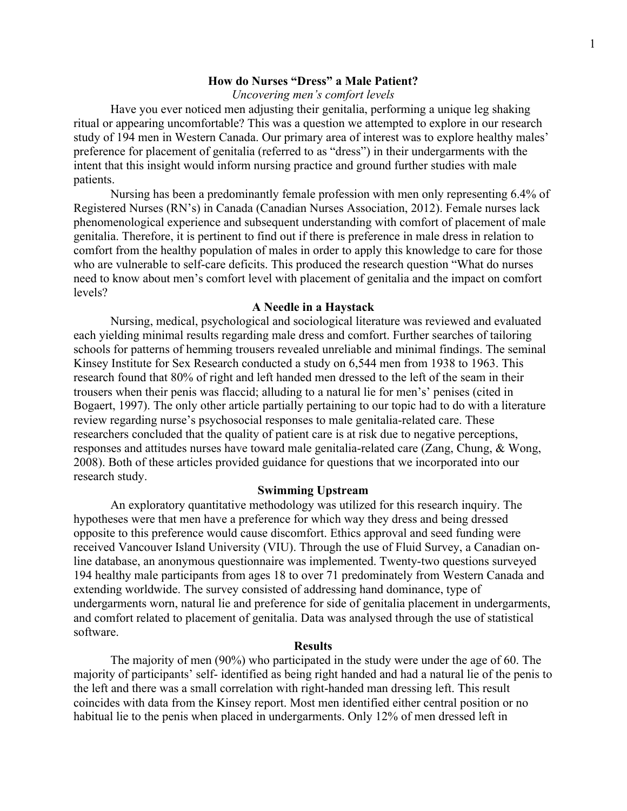### **How do Nurses "Dress" a Male Patient?**

*Uncovering men's comfort levels*

Have you ever noticed men adjusting their genitalia, performing a unique leg shaking ritual or appearing uncomfortable? This was a question we attempted to explore in our research study of 194 men in Western Canada. Our primary area of interest was to explore healthy males' preference for placement of genitalia (referred to as "dress") in their undergarments with the intent that this insight would inform nursing practice and ground further studies with male patients.

Nursing has been a predominantly female profession with men only representing 6.4% of Registered Nurses (RN's) in Canada (Canadian Nurses Association, 2012). Female nurses lack phenomenological experience and subsequent understanding with comfort of placement of male genitalia. Therefore, it is pertinent to find out if there is preference in male dress in relation to comfort from the healthy population of males in order to apply this knowledge to care for those who are vulnerable to self-care deficits. This produced the research question "What do nurses need to know about men's comfort level with placement of genitalia and the impact on comfort levels?

### **A Needle in a Haystack**

Nursing, medical, psychological and sociological literature was reviewed and evaluated each yielding minimal results regarding male dress and comfort. Further searches of tailoring schools for patterns of hemming trousers revealed unreliable and minimal findings. The seminal Kinsey Institute for Sex Research conducted a study on 6,544 men from 1938 to 1963. This research found that 80% of right and left handed men dressed to the left of the seam in their trousers when their penis was flaccid; alluding to a natural lie for men's' penises (cited in Bogaert, 1997). The only other article partially pertaining to our topic had to do with a literature review regarding nurse's psychosocial responses to male genitalia-related care. These researchers concluded that the quality of patient care is at risk due to negative perceptions, responses and attitudes nurses have toward male genitalia-related care (Zang, Chung, & Wong, 2008). Both of these articles provided guidance for questions that we incorporated into our research study.

### **Swimming Upstream**

An exploratory quantitative methodology was utilized for this research inquiry. The hypotheses were that men have a preference for which way they dress and being dressed opposite to this preference would cause discomfort. Ethics approval and seed funding were received Vancouver Island University (VIU). Through the use of Fluid Survey, a Canadian online database, an anonymous questionnaire was implemented. Twenty-two questions surveyed 194 healthy male participants from ages 18 to over 71 predominately from Western Canada and extending worldwide. The survey consisted of addressing hand dominance, type of undergarments worn, natural lie and preference for side of genitalia placement in undergarments, and comfort related to placement of genitalia. Data was analysed through the use of statistical software.

#### **Results**

The majority of men (90%) who participated in the study were under the age of 60. The majority of participants' self- identified as being right handed and had a natural lie of the penis to the left and there was a small correlation with right-handed man dressing left. This result coincides with data from the Kinsey report. Most men identified either central position or no habitual lie to the penis when placed in undergarments. Only 12% of men dressed left in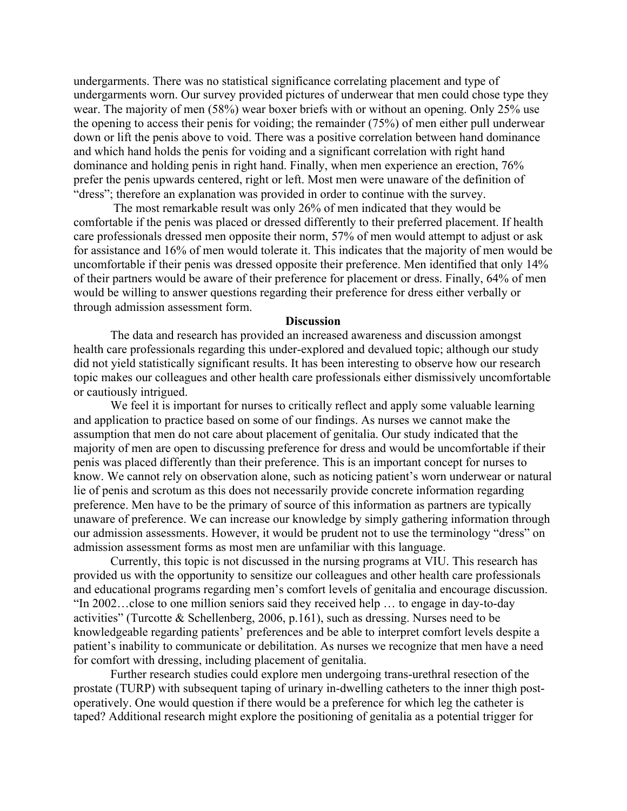undergarments. There was no statistical significance correlating placement and type of undergarments worn. Our survey provided pictures of underwear that men could chose type they wear. The majority of men (58%) wear boxer briefs with or without an opening. Only 25% use the opening to access their penis for voiding; the remainder (75%) of men either pull underwear down or lift the penis above to void. There was a positive correlation between hand dominance and which hand holds the penis for voiding and a significant correlation with right hand dominance and holding penis in right hand. Finally, when men experience an erection, 76% prefer the penis upwards centered, right or left. Most men were unaware of the definition of "dress"; therefore an explanation was provided in order to continue with the survey.

The most remarkable result was only 26% of men indicated that they would be comfortable if the penis was placed or dressed differently to their preferred placement. If health care professionals dressed men opposite their norm, 57% of men would attempt to adjust or ask for assistance and 16% of men would tolerate it. This indicates that the majority of men would be uncomfortable if their penis was dressed opposite their preference. Men identified that only 14% of their partners would be aware of their preference for placement or dress. Finally, 64% of men would be willing to answer questions regarding their preference for dress either verbally or through admission assessment form.

#### **Discussion**

The data and research has provided an increased awareness and discussion amongst health care professionals regarding this under-explored and devalued topic; although our study did not yield statistically significant results. It has been interesting to observe how our research topic makes our colleagues and other health care professionals either dismissively uncomfortable or cautiously intrigued.

We feel it is important for nurses to critically reflect and apply some valuable learning and application to practice based on some of our findings. As nurses we cannot make the assumption that men do not care about placement of genitalia. Our study indicated that the majority of men are open to discussing preference for dress and would be uncomfortable if their penis was placed differently than their preference. This is an important concept for nurses to know. We cannot rely on observation alone, such as noticing patient's worn underwear or natural lie of penis and scrotum as this does not necessarily provide concrete information regarding preference. Men have to be the primary of source of this information as partners are typically unaware of preference. We can increase our knowledge by simply gathering information through our admission assessments. However, it would be prudent not to use the terminology "dress" on admission assessment forms as most men are unfamiliar with this language.

Currently, this topic is not discussed in the nursing programs at VIU. This research has provided us with the opportunity to sensitize our colleagues and other health care professionals and educational programs regarding men's comfort levels of genitalia and encourage discussion. "In 2002…close to one million seniors said they received help … to engage in day-to-day activities" (Turcotte & Schellenberg, 2006, p.161), such as dressing. Nurses need to be knowledgeable regarding patients' preferences and be able to interpret comfort levels despite a patient's inability to communicate or debilitation. As nurses we recognize that men have a need for comfort with dressing, including placement of genitalia.

Further research studies could explore men undergoing trans-urethral resection of the prostate (TURP) with subsequent taping of urinary in-dwelling catheters to the inner thigh postoperatively. One would question if there would be a preference for which leg the catheter is taped? Additional research might explore the positioning of genitalia as a potential trigger for